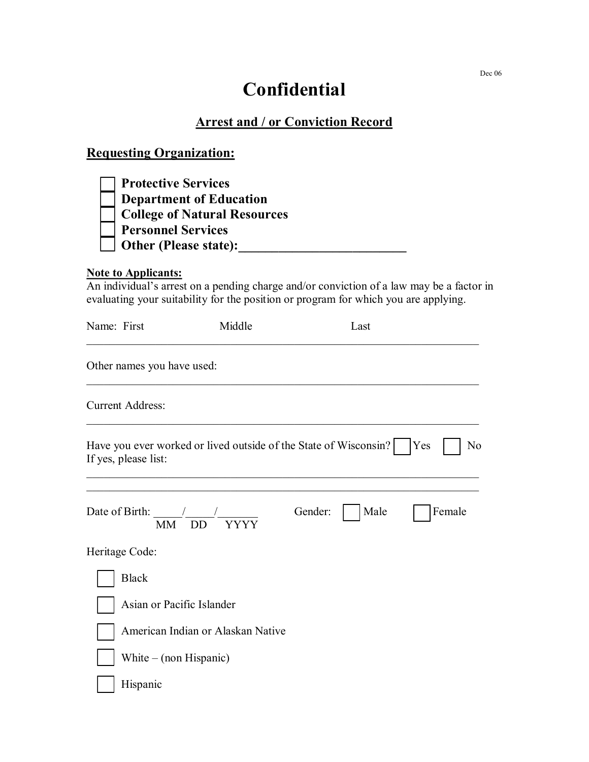## **Confidential**

## **Arrest and / or Conviction Record**

## **Requesting Organization:**

| <b>Protective Services</b>          |
|-------------------------------------|
| <b>Department of Education</b>      |
| <b>College of Natural Resources</b> |
| <b>Personnel Services</b>           |
| <b>Other (Please state):</b>        |

## **Note to Applicants:**

An individual's arrest on a pending charge and/or conviction of a law may be a factor in evaluating your suitability for the position or program for which you are applying.

| Name: First                         | Middle                                                           |         | Last |                  |
|-------------------------------------|------------------------------------------------------------------|---------|------|------------------|
| Other names you have used:          |                                                                  |         |      |                  |
| <b>Current Address:</b>             |                                                                  |         |      |                  |
| If yes, please list:                | Have you ever worked or lived outside of the State of Wisconsin? |         |      | <b>Yes</b><br>No |
| Date of Birth: $\frac{\sqrt{2}}{2}$ | <b>YYYY</b><br>MM DD                                             | Gender: | Male | Female           |
| Heritage Code:                      |                                                                  |         |      |                  |
| <b>Black</b>                        |                                                                  |         |      |                  |
|                                     | Asian or Pacific Islander                                        |         |      |                  |
|                                     | American Indian or Alaskan Native                                |         |      |                  |
| White $-$ (non Hispanic)            |                                                                  |         |      |                  |
| Hispanic                            |                                                                  |         |      |                  |